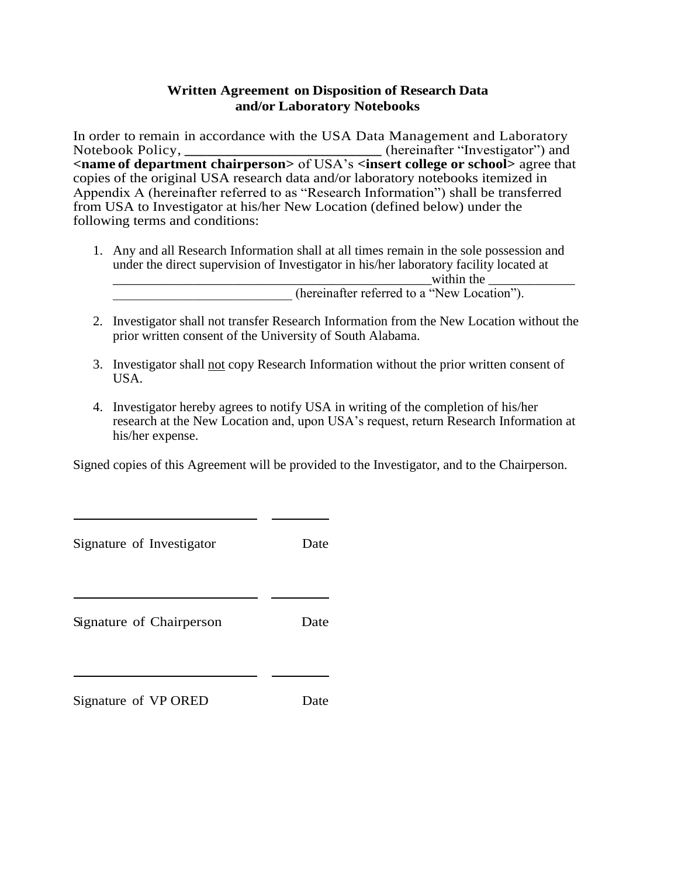## **Written Agreement on Disposition of Research Data and/or Laboratory Notebooks**

In order to remain in accordance with the USA Data Management and Laboratory Notebook Policy, **\_\_\_\_\_\_\_\_\_\_\_\_\_\_\_\_\_\_\_\_\_\_\_\_\_\_\_** (hereinafter "Investigator") and **<name of department chairperson>** of USA's **<insert college or school>** agree that copies of the original USA research data and/or laboratory notebooks itemized in Appendix A (hereinafter referred to as "Research Information") shall be transferred from USA to Investigator at his/her New Location (defined below) under the following terms and conditions:

- 1. Any and all Research Information shall at all times remain in the sole possession and under the direct supervision of Investigator in his/her laboratory facility located at within the (hereinafter referred to a "New Location").
- 2. Investigator shall not transfer Research Information from the New Location without the prior written consent of the University of South Alabama.
- 3. Investigator shall not copy Research Information without the prior written consent of USA.
- 4. Investigator hereby agrees to notify USA in writing of the completion of his/her research at the New Location and, upon USA's request, return Research Information at his/her expense.

Signed copies of this Agreement will be provided to the Investigator, and to the Chairperson.

| Signature of Investigator | Date |
|---------------------------|------|
| Signature of Chairperson  | Date |
| Signature of VP ORED      | Date |